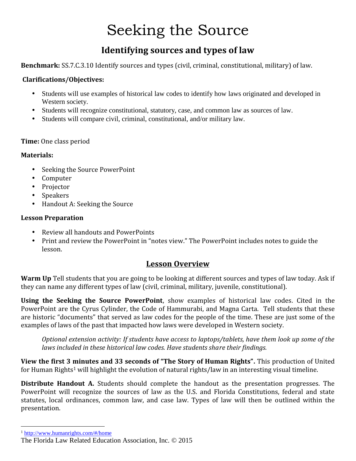# Seeking the Source

### **Identifying sources and types of law**

**Benchmark:** SS.7.C.3.10 Identify sources and types (civil, criminal, constitutional, military) of law.

#### **Clarifications/Objectives:**

- Students will use examples of historical law codes to identify how laws originated and developed in Western society.
- Students will recognize constitutional, statutory, case, and common law as sources of law.
- Students will compare civil, criminal, constitutional, and/or military law.

#### **Time:** One class period

#### **Materials:**

- Seeking the Source PowerPoint<br>• Computer<br>• Projector<br>• Speakers<br>• Handout A: Seeking the Source
- 
- 
- 
- 

#### **Lesson Preparation**

- 
- Review all handouts and PowerPoints<br>• Print and review the PowerPoint in "notes view." The PowerPoint includes notes to guide the lesson.

#### **Lesson Overview**

**Warm Up** Tell students that you are going to be looking at different sources and types of law today. Ask if they can name any different types of law (civil, criminal, military, juvenile, constitutional).

**Using the Seeking the Source PowerPoint**, show examples of historical law codes. Cited in the PowerPoint are the Cyrus Cylinder, the Code of Hammurabi, and Magna Carta. Tell students that these are historic "documents" that served as law codes for the people of the time. These are just some of the examples of laws of the past that impacted how laws were developed in Western society.

*Optional extension activity: If students have access to laptops/tablets, have them look up some of the laws included in these historical law codes. Have students share their findings.*

**View the first 3 minutes and 33 seconds of "The Story of Human Rights".** This production of United for Human Rights<sup>1</sup> will highlight the evolution of natural rights/law in an interesting visual timeline.

**Distribute Handout A.** Students should complete the handout as the presentation progresses. The PowerPoint will recognize the sources of law as the U.S. and Florida Constitutions, federal and state statutes, local ordinances, common law, and case law. Types of law will then be outlined within the presentation.

<sup>1</sup> http://www.humanrights.com/#/home

The Florida Law Related Education Association, Inc. © 2015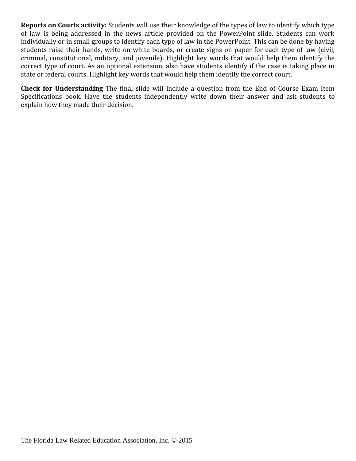**Reports on Courts activity:** Students will use their knowledge of the types of law to identify which type of law is being addressed in the news article provided on the PowerPoint slide. Students can work individually or in small groups to identify each type of law in the PowerPoint. This can be done by having students raise their hands, write on white boards, or create signs on paper for each type of law (civil, criminal, constitutional, military, and juvenile). Highlight key words that would help them identify the correct type of court. As an optional extension, also have students identify if the case is taking place in state or federal courts. Highlight key words that would help them identify the correct court.

**Check for Understanding** The final slide will include a question from the End of Course Exam Item Specifications book. Have the students independently write down their answer and ask students to explain how they made their decision.